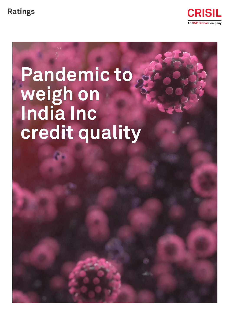

# **Pandemic to weigh on India Inc credit quality**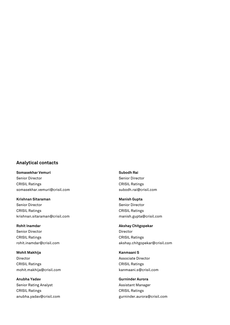#### **Analytical contacts**

**Somasekhar Vemuri** Senior Director CRISIL Ratings [somasekhar.vemuri@crisil.com](mailto:somasekhar.vemuri@crisil.com)

**Krishnan Sitaraman** Senior Director CRISIL Ratings [krishnan.sitaraman@crisil.com](mailto:krishnan.sitaraman@crisil.com)

**Rohit Inamdar** Senior Director CRISIL Ratings [rohit.inamdar@crisil.com](mailto:rohit.inamdar@crisil.com)

**Mohit Makhija** Director CRISIL Ratings [mohit.makhija@crisil.com](mailto:mohit.makhija@crisil.com)

**Anubha Yadav** Senior Rating Analyst CRISIL Ratings [anubha.yadav@crisil.com](mailto:anubha.yadav@crisil.com) **Subodh Rai** Senior Director CRISIL Ratings [subodh.rai@crisil.com](mailto:subodh.rai@crisil.com)

**Manish Gupta** Senior Director CRISIL Ratings [manish.gupta@crisil.com](mailto:manish.gupta@crisil.com)

**Akshay Chitgopekar** Director CRISIL Ratings [akshay.chitgopekar@crisil.com](mailto:akshay.chitgopekar@crisil.com)

**Kanmaani S** Associate Director CRISIL Ratings [kanmaani.s@crisil.com](mailto:kanmaani.s@crisil.com)

**Gurninder Aurora** Assistant Manager CRISIL Ratings [gurninder.aurora@crisil.com](mailto:gurninder.aurora@crisil.com)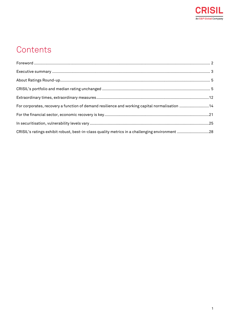

# **Contents**

| For corporates, recovery a function of demand resilience and working capital normalisation 14  |  |
|------------------------------------------------------------------------------------------------|--|
|                                                                                                |  |
|                                                                                                |  |
| CRISIL's ratings exhibit robust, best-in-class quality metrics in a challenging environment 28 |  |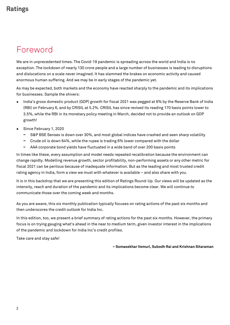## <span id="page-3-0"></span>Foreword

We are in unprecedented times. The Covid-19 pandemic is spreading across the world and India is no exception. The lockdown of nearly 130 crore people and a large number of businesses is leading to disruptions and dislocations on a scale never imagined. It has slammed the brakes on economic activity and caused enormous human suffering. And we may be in early stages of the pandemic yet.

As may be expected, both markets and the economy have reacted sharply to the pandemic and its implications for businesses. Sample the shivers:

- India's gross domestic product (GDP) growth for fiscal 2021 was pegged at 6% by the Reserve Bank of India (RBI) on February 6, and by CRISIL at 5.2%. CRISIL has since revised its reading 170 basis points lower to 3.5%, while the RBI in its monetary policy meeting in March, decided not to provide an outlook on GDP growth!
- Since February 1, 2020
	- S&P BSE Sensex is down over 30%, and most global indices have crashed and seen sharp volatility
	- **−** Crude oil is down 64%, while the rupee is trading 6% lower compared with the dollar
	- **−** AAA corporate bond yields have fluctuated in a wide band of over 200 basis points

In times like these, every assumption and model needs repeated recalibration because the environment can change rapidly. Modelling revenue growth, sector profitability, non-performing assets or any other metric for fiscal 2021 can be perilous because of inadequate information. But as the leading and most trusted credit rating agency in India, form a view we must with whatever is available – and also share with you.

It is in this backdrop that we are presenting this edition of Ratings Round-Up. Our views will be updated as the intensity, reach and duration of the pandemic and its implications become clear. We will continue to communicate those over the coming week and months.

As you are aware, this six monthly publication typically focuses on rating actions of the past six months and then underscores the credit outlook for India Inc.

In this edition, too, we present a brief summary of rating actions for the past six months. However, the primary focus is on trying gauging what's ahead in the near to medium term, given investor interest in the implications of the pandemic and lockdown for India Inc's credit profiles.

Take care and stay safe!

**– Somasekhar Vemuri, Subodh Rai and Krishnan Sitaraman**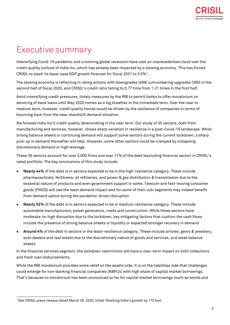# <span id="page-4-0"></span>Executive summary

Intensifying Covid-19 pandemic and a looming global recession have cast an unprecedented cloud over the credit quality outlook of India Inc, which has already been impacted by a slowing economy. This has forced CRISIL to slash its base-case GDP growth forecast for fiscal 2021 to  $3.5\%$ <sup>1</sup>.

The slowing economy is reflecting in rating actions with downgrades (469) outnumbering upgrades (360) in the second half of fiscal 2020, and CRISIL's credit ratio falling to 0.77 time from 1.21 times in the first half.

Amid intensifying credit pressures, timely measures by the RBI to permit banks to offer moratorium on servicing of bank loans until May 2020 comes as a big breather in the immediate term. Over the near to medium term, however, credit quality trends would be driven by the resilience of companies in terms of bouncing back from the near-standstill demand situation.

We foresee India Inc's credit quality deteriorating in the near term. Our study of 35 sectors, both from manufacturing and services, however, shows sharp variation in resilience in a post-Covid-19 landscape. While strong balance sheets or continuing demand will support some sectors during the current lockdown, a sharp pick-up in demand thereafter will help. However, some other sectors could be cramped by collapsing discretionary demand or high leverage.

These 35 sectors account for over 3,000 firms and over 71% of the debt (excluding financial sector) in CRISIL's rated portfolio. The key conclusions of this study include:

- **Nearly 44%** of the debt is in sectors expected to be in the high-resilience category. These include pharmaceuticals, fertilisers, oil refineries, and power & gas distribution & transmission due to the essential nature of products and even government support in some. Telecom and fast-moving consumer goods (FMCG) will see the least demand impact and for some of their sub-segments may indeed benefit from demand uptick during the pandemic-driven disruption
- **Nearly 52%** of the debt is in sectors expected to be in medium-resilience category. These include automobile manufacturers, power generators, roads and construction. While these sectors have moderate-to-high disruption due to the lockdown, key mitigating factors that cushion the cash flows include the presence of strong balance sheets or liquidity or expected stronger recovery in demand
- **Around 4%** of the debt in sectors in the least-resilience category. These include airlines, gems & jewellery, auto dealers and real estate due to the discretionary nature of goods and services, and weak balance sheets

In the financial services segment, the lockdown restrictions will have a near-term impact on both collections and fresh loan disbursements.

While the RBI moratorium provides some relief on the assets side, it is on the liabilities side that challenges could emerge for non-banking financial companies (NBFCs) with high share of capital market borrowings. That's because no moratorium has been announced so far for capital market borrowings (such as bonds and

 $\overline{a}$ <sup>1</sup> See CRISIL press release dated March 26, 2020, titled 'Slashing India's growth by 170 bps'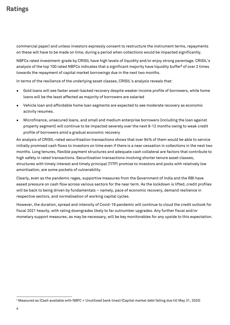commercial paper) and unless investors expressly consent to restructure the instrument terms, repayments on these will have to be made on time, during a period when collections would be impacted significantly.

NBFCs rated investment-grade by CRISIL have high levels of liquidity and/or enjoy strong parentage. CRISIL's analysis of the top 100 rated NBFCs indicates that a significant majority have liquidity buffer**<sup>2</sup>** of over 2 times towards the repayment of capital market borrowings due in the next two months.

In terms of the resilience of the underlying asset classes, CRISIL's analysis reveals that:

- Gold loans will see faster asset-backed recovery despite weaker income profile of borrowers, while home loans will be the least affected as majority of borrowers are salaried
- Vehicle loan and affordable home loan segments are expected to see moderate recovery as economic activity resumes.
- Microfinance, unsecured loans, and small and medium enterprise borrowers (including the loan against property segment) will continue to be impacted severely over the next 9-12 months owing to weak credit profile of borrowers amid a gradual economic recovery

An analysis of CRISIL-rated securitisation transactions shows that over 94% of them would be able to service initially promised cash flows to investors on time even if there is a near cessation in collections in the next two months. Long tenures, flexible payment structures and adequate cash collateral are factors that contribute to high safety in rated transactions. Securitisation transactions involving shorter tenure asset classes, structures with timely interest and timely principal (TITP) promise to investors and pools with relatively low amortisation, are some pockets of vulnerability.

Clearly, even as the pandemic rages, supportive measures from the Government of India and the RBI have eased pressure on cash flow across various sectors for the near term. As the lockdown is lifted, credit profiles will be back to being driven by fundamentals – namely, pace of economic recovery, demand resilience in respective sectors, and normalisation of working capital cycles.

However, the duration, spread and intensity of Covid-19 pandemic will continue to cloud the credit outlook for fiscal 2021 heavily, with rating downgrades likely to far outnumber upgrades. Any further fiscal and/or monetary support measures, as may be necessary, will be key monitorables for any upside to this expectation.

 $\overline{a}$ 

<sup>2</sup> Measured as (Cash available with NBFC + Unutilised bank lines)/(Capital market debt falling due till May 31, 2020)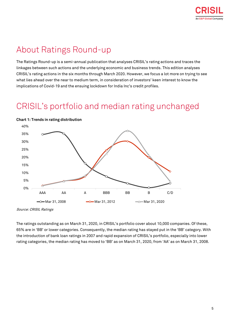# <span id="page-6-0"></span>About Ratings Round-up

The Ratings Round-up is a semi-annual publication that analyses CRISIL's rating actions and traces the linkages between such actions and the underlying economic and business trends. This edition analyses CRISIL's rating actions in the six months through March 2020. However, we focus a lot more on trying to see what lies ahead over the near to medium term, in consideration of investors' keen interest to know the implications of Covid-19 and the ensuing lockdown for India Inc's credit profiles.

## <span id="page-6-1"></span>CRISIL's portfolio and median rating unchanged



**Chart 1: Trends in rating distribution**

Source: CRISIL Ratings

The ratings outstanding as on March 31, 2020, in CRISIL's portfolio cover about 10,000 companies. Of these, 65% are in 'BB' or lower categories. Consequently, the median rating has stayed put in the 'BB' category. With the introduction of bank loan ratings in 2007 and rapid expansion of CRISIL's portfolio, especially into lower rating categories, the median rating has moved to 'BB' as on March 31, 2020, from 'AA' as on March 31, 2008.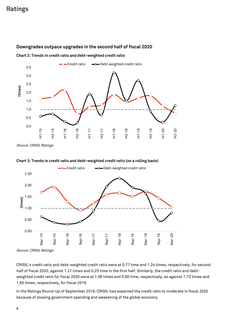

#### **Downgrades outpace upgrades in the second half of fiscal 2020**

**Chart 2: Trends in credit ratio and debt-weighted credit ratio**

Source: CRISIL Ratings



#### **Chart 3: Trends in credit ratio and debt-weighted credit ratio (on a rolling basis)**

Source: CRISIL Ratings

CRISIL's credit ratio and debt-weighted credit ratio were at 0.77 time and 1.24 times, respectively, for second half of fiscal 2020, against 1.21 times and 0.25 time in the first half. Similarly, the credit ratio and debtweighted credit ratio for fiscal 2020 were at 1.06 times and 0.80 time, respectively, as against 1.73 times and 1.65 times, respectively, for fiscal 2019.

In the Ratings Round-Up of September 2019, CRISIL had expected the credit ratio to moderate in fiscal 2020 because of slowing government spending and weakening of the global economy.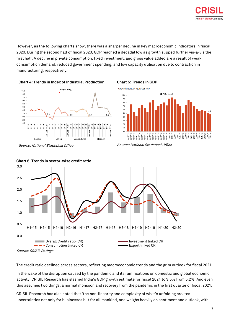

However, as the following charts show, there was a sharper decline in key macroeconomic indicators in fiscal 2020. During the second half of fiscal 2020, GDP reached a decadal low as growth slipped further vis-à-vis the first half. A decline in private consumption, fixed investment, and gross value added are a result of weak consumption demand, reduced government spending, and low capacity utilisation due to contraction in manufacturing, respectively.







Source: National Statistical Office Source: National Statistical Office



**Chart 6: Trends in sector-wise credit ratio**

The credit ratio declined across sectors, reflecting macroeconomic trends and the grim outlook for fiscal 2021.

In the wake of the disruption caused by the pandemic and its ramifications on domestic and global economic activity, CRISIL Research has slashed India's GDP growth estimate for fiscal 2021 to 3.5% from 5.2%. And even this assumes two things: a normal monsoon and recovery from the pandemic in the first quarter of fiscal 2021.

CRISIL Research has also noted that 'the non-linearity and complexity of what's unfolding creates uncertainties not only for businesses but for all mankind, and weighs heavily on sentiment and outlook, with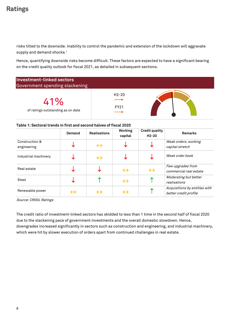risks tilted to the downside. Inability to control the pandemic and extension of the lockdown will aggravate supply and demand shocks.'

Hence, quantifying downside risks become difficult. These factors are expected to have a significant bearing on the credit quality outlook for fiscal 2021, as detailed in subsequent sections.

| <b>Investment-linked sectors</b><br>Government spending slackening |                               |  |
|--------------------------------------------------------------------|-------------------------------|--|
| 41%<br>of ratings outstanding as on date                           | $H2-20$<br><b>FY21</b><br>--- |  |

#### **Table 1: Sectoral trends in first and second halves of fiscal 2020**

|                               | Demand            | <b>Realisations</b> | <b>Working</b><br>capital | <b>Credit quality</b><br>$H2-20$ | <b>Remarks</b>                                         |
|-------------------------------|-------------------|---------------------|---------------------------|----------------------------------|--------------------------------------------------------|
| Construction &<br>engineering |                   | $\leftrightarrow$   |                           |                                  | Weak orders; working<br>capital stretch                |
| Industrial machinery          |                   | $\leftrightarrow$   |                           |                                  | Weak order book                                        |
| Real estate                   |                   |                     | $\leftrightarrow$         | $\leftrightarrow$                | Few upgrades from<br>commercial real estate            |
| Steel                         |                   |                     | $\leftrightarrow$         | ́                                | Moderating but better<br>realisations                  |
| Renewable power               | $\leftrightarrow$ |                     |                           | ́                                | Acquisitions by entities with<br>better credit profile |

Source: CRISIL Ratings

The credit ratio of investment-linked sectors has skidded to less than 1 time in the second half of fiscal 2020 due to the slackening pace of government investments and the overall domestic slowdown. Hence, downgrades increased significantly in sectors such as construction and engineering, and industrial machinery, which were hit by slower execution of orders apart from continued challenges in real estate.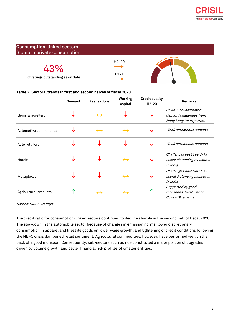

#### **Consumption-linked sectors** Slump in private consumption

| $13\%$<br>of ratings outstanding as on date | $H2-20$<br>FY21 |  |
|---------------------------------------------|-----------------|--|
|                                             | ----            |  |

#### **Table 2: Sectoral trends in first and second halves of fiscal 2020**

|                       | Demand | <b>Realisations</b> | <b>Working</b><br>capital | <b>Credit quality</b><br>$H2-20$ | <b>Remarks</b>                                                            |
|-----------------------|--------|---------------------|---------------------------|----------------------------------|---------------------------------------------------------------------------|
| Gems & jewellery      |        | $\leftrightarrow$   |                           |                                  | Covid-19 exacerbated<br>demand challenges from<br>Hong Kong for exporters |
| Automotive components |        | $\leftrightarrow$   | $\leftrightarrow$         |                                  | Weak automobile demand                                                    |
| Auto retailers        |        |                     |                           |                                  | Weak automobile demand                                                    |
| Hotels                |        |                     | $\leftrightarrow$         |                                  | Challenges post Covid-19<br>social distancing measures<br>in India        |
| Multiplexes           |        |                     | $\leftrightarrow$         |                                  | Challenges post Covid-19<br>social distancing measures<br>in India        |
| Agricultural products |        | $\leftrightarrow$   | $\leftrightarrow$         |                                  | Supported by good<br>monsoons; hangover of<br>Covid-19 remains            |

Source: CRISIL Ratings

The credit ratio for consumption-linked sectors continued to decline sharply in the second half of fiscal 2020. The slowdown in the automobile sector because of changes in emission norms, lower discretionary consumption in apparel and lifestyle goods on lower wage growth, and tightening of credit conditions following the NBFC crisis dampened retail sentiment. Agricultural commodities, however, have performed well on the back of a good monsoon. Consequently, sub-sectors such as rice constituted a major portion of upgrades, driven by volume growth and better financial risk profiles of smaller entities.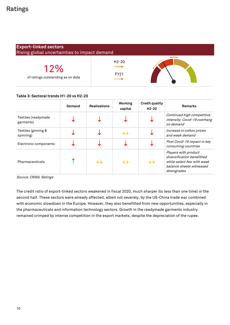| <b>Export-linked sectors</b><br>Rising global uncertainties to impact demand |                                     |  |  |  |
|------------------------------------------------------------------------------|-------------------------------------|--|--|--|
| 12%<br>of ratings outstanding as on date                                     | $H2-20$<br><b>FY21</b><br>$- - - 1$ |  |  |  |

#### **Table 3: Sectoral trends H1-20 vs H2-20**

|                                  | Demand | <b>Realisations</b> | <b>Working</b><br>capital | <b>Credit quality</b><br>$H2-20$ | <b>Remarks</b>                                                                                                             |
|----------------------------------|--------|---------------------|---------------------------|----------------------------------|----------------------------------------------------------------------------------------------------------------------------|
| Textiles (readymade<br>garments) |        |                     |                           |                                  | Continued high competitive<br>intensity; Covid-19 overhang<br>on demand                                                    |
| Textiles (ginning &<br>spinning) |        |                     | $\leftrightarrow$         |                                  | Increase in cotton prices<br>and weak demand                                                                               |
| Electronic components            |        |                     |                           |                                  | Post Covid-19 impact in key<br>consuming countries                                                                         |
| Pharmaceuticals                  |        |                     | $\leftrightarrow$         | $\leftrightarrow$                | Players with product<br>diversification benefitted<br>while select few with weak<br>balance sheets witnessed<br>downgrades |

Source: CRISIL Ratings

The credit ratio of export-linked sectors weakened in fiscal 2020, much sharper (to less than one time) in the second half. These sectors were already affected, albeit not severely, by the US-China trade war combined with economic slowdown in the Europe. However, they also benefitted from new opportunities, especially in the pharmaceuticals and information technology sectors. Growth in the readymade garments industry remained crimped by intense competition in the export markets, despite the depreciation of the rupee.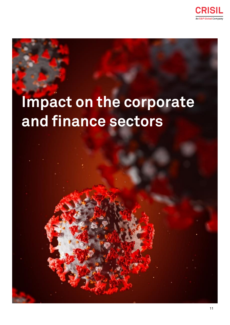

# **Impact on the corporate and finance sectors**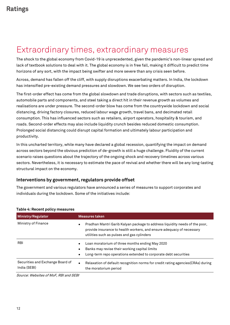## <span id="page-13-0"></span>Extraordinary times, extraordinary measures

The shock to the global economy from Covid-19 is unprecedented, given the pandemic's non-linear spread and lack of textbook solutions to deal with it. The global economy is in free fall, making it difficult to predict time horizons of any sort, with the impact being swifter and more severe than any crisis seen before.

Across, demand has fallen off the cliff, with supply disruptions exacerbating matters. In India, the lockdown has intensified pre-existing demand pressures and slowdown. We see two orders of disruption.

The first-order effect has come from the global slowdown and trade disruptions, with sectors such as textiles, automobile parts and components, and steel taking a direct hit in their revenue growth as volumes and realisations are under pressure. The second-order blow has come from the countrywide lockdown and social distancing, driving factory closures, reduced labour wage growth, travel bans, and decimated retail consumption. This has influenced sectors such as retailers, airport operators, hospitality & tourism, and roads. Second-order effects may also include liquidity crunch besides reduced domestic consumption. Prolonged social distancing could disrupt capital formation and ultimately labour participation and productivity.

In this uncharted territory, while many have declared a global recession, quantifying the impact on demand across sectors beyond the obvious prediction of de-growth is still a huge challenge. Fluidity of the current scenario raises questions about the trajectory of the ongoing shock and recovery timelines across various sectors. Nevertheless, it is necessary to estimate the pace of revival and whether there will be any long-lasting structural impact on the economy.

#### **Interventions by government, regulators provide offset**

The government and various regulators have announced a series of measures to support corporates and individuals during the lockdown. Some of the initiatives include:

| <b>Ministry/Regulator</b>                        | <b>Measures taken</b>                                                                                                                                                                              |  |  |
|--------------------------------------------------|----------------------------------------------------------------------------------------------------------------------------------------------------------------------------------------------------|--|--|
| Ministry of Finance                              | Pradhan Mantri Garib Kalyan package to address liquidity needs of the poor,<br>provide insurance to health workers, and ensure adequacy of necessary<br>utilities such as pulses and gas cylinders |  |  |
| <b>RBI</b>                                       | Loan moratorium of three months ending May 2020<br>Banks may revise their working capital limits<br>$\bullet$<br>Long-term repo operations extended to corporate debt securities                   |  |  |
| Securities and Exchange Board of<br>India (SEBI) | Relaxation of default recognition norms for credit rating agencies(CRAs) during<br>the moratorium period                                                                                           |  |  |

#### **Table 4: Recent policy measures**

Source: Websites of MoF, RBI and SEBI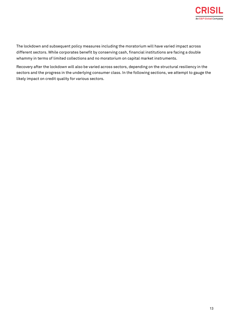

The lockdown and subsequent policy measures including the moratorium will have varied impact across different sectors. While corporates benefit by conserving cash, financial institutions are facing a double whammy in terms of limited collections and no moratorium on capital market instruments.

Recovery after the lockdown will also be varied across sectors, depending on the structural resiliency in the sectors and the progress in the underlying consumer class. In the following sections, we attempt to gauge the likely impact on credit quality for various sectors.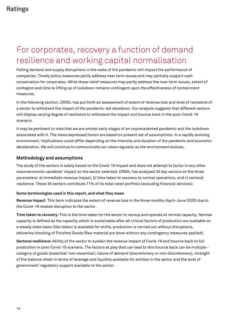# <span id="page-15-0"></span>For corporates, recovery a function of demand resilience and working capital normalisation

Falling demand and supply disruptions in the wake of the pandemic will impact the performance of companies. Timely policy measures partly address near term issues and may partially support cash conservation for corporates. While these relief measures may partly address the near term issues, extent of contagion and time to lifting up of lockdown remains contingent upon the effectiveness of containment measures.

In the following section, CRISIL has put forth an assessment of extent of revenue loss and level of resilience of a sector to withstand the impact of the pandemic-led slowdown. Our analysis suggests that different sectors will display varying degree of resilience to withstand the impact and bounce back in the post-Covid-19 scenario.

It may be pertinent to note that we are amidst early stages of an unprecedented pandemic and the lockdown associated with it. The views expressed herein are based on present set of assumptions. In a rapidly evolving environment, implications could differ depending on the intensity and duration of the pandemic and economic deceleration. We will continue to communicate our views regularly as the environment evolves.

#### **Methodology and assumptions**

The study of the sectors is solely based on the Covid-19 impact and does not attempt to factor in any other macroeconomic variables' impact on the sector selected. CRISIL has analysed 35 key sectors on the three parameters: a) immediate revenue impact, b) time taken to recovery to normal operations, and c) sectoral resilience. These 35 sectors contribute 71% of its total rated portfolio (excluding financial services).

#### **Some terminologies used in this report, and what they mean**

**Revenue impact**: This term indicates the extent of revenue loss in the three months (April–June 2020) due to the Covid-19 related disruption to the sector.

**Time taken to recovery:** This is the time taken for the sector to recoup and operate at normal capacity. Normal capacity is defined as the capacity which is sustainable after all critical factors of production are available on a steady state basis (like labour is available for shifts, production is carried out without disruptions, deliveries/stocking of Finished Goods/Raw material are done without any contingency measures applied).

**Sectoral resilience:** Ability of the sector to sustain the revenue impact of Covid-19 and bounce back to full production in post-Covid-19 scenario. The factors at play that can lead to this bounce back can be multiple category of goods (essential/ non-essential); nature of demand (discretionary or non-discretionary), strength of the balance sheet in terms of leverage and liquidity available for entities in the sector and the level of government/ regulatory support available to the sector.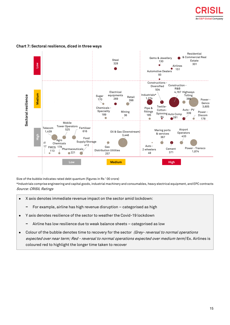



#### **Chart 7: Sectoral resilience, diced in three ways**

Size of the bubble indicates rated debt quantum (figures in Rs ' 00 crore)

\*Industrials comprise engineering and capital goods, industrial machinery and consumables, heavy electrical equipment, and EPC contracts Source: CRISIL Ratings

- X axis denotes immediate revenue impact on the sector amid lockdown:
	- **−** For example, airline has high revenue disruption categorised as high
- Y axis denotes resilience of the sector to weather the Covid-19 lockdown
	- **−** Airline has low resilience due to weak balance sheets categorised as low
- Colour of the bubble denotes time to recovery for the sector (Grey- reversal to normal operations expected over near term; Red - reversal to normal operations expected over medium term) Ex. Airlines is coloured red to highlight the longer time taken to recover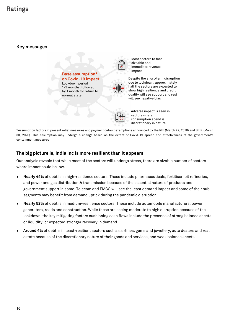#### **Key messages**

**Base assumption\* on Covid-19 impact** Lockdown period 1-2 months, followed by 1 month for return to normal state



Most sectors to face sizeable and immediate revenue impact

Despite the short-term disruption due to lockdown, approximately half the sectors are expected to show high resilience and credit quality will see support and rest will see negative bias



Adverse impact is seen in sectors where consumption spend is discretionary in nature

\*Assumption factors in present relief measures and payment default exemptions announced by the RBI (March 27, 2020) and SEBI (March 30, 2020). This assumption may undergo a change based on the extent of Covid-19 spread and effectiveness of the government's containment measures

#### **The big picture is, India Inc is more resilient than it appears**

Our analysis reveals that while most of the sectors will undergo stress, there are sizable number of sectors where impact could be low.

- Nearly 44% of debt is in high-resilience sectors. These include pharmaceuticals, fertiliser, oil refineries, and power and gas distribution & transmission because of the essential nature of products and government support in some. Telecom and FMCG will see the least demand impact and some of their subsegments may benefit from demand uptick during the pandemic disruption
- Nearly 52% of debt is in medium-resilience sectors. These include automobile manufacturers, power generators, roads and construction. While these are seeing moderate to high disruption because of the lockdown, the key mitigating factors cushioning cash flows include the presence of strong balance sheets or liquidity, or expected stronger recovery in demand
- **Around 4%** of debt is in least-resilient sectors such as airlines, gems and jewellery, auto dealers and real estate because of the discretionary nature of their goods and services, and weak balance sheets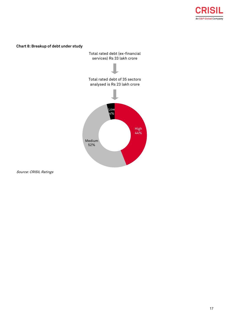

#### **Chart 8: Breakup of debt under study**

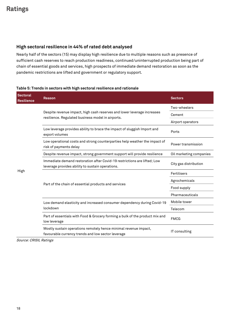#### **High sectoral resilience in 44% of rated debt analysed**

Nearly half of the sectors (15) may display high resilience due to multiple reasons such as presence of sufficient cash reserves to reach production readiness, continued/uninterrupted production being part of chain of essential goods and services, high prospects of immediate demand restoration as soon as the pandemic restrictions are lifted and government or regulatory support.

#### **Table 5: Trends in sectors with high sectoral resilience and rationale**

| <b>Sectoral</b><br><b>Resilience</b> | Reason                                                                                                                       | <b>Sectors</b>          |
|--------------------------------------|------------------------------------------------------------------------------------------------------------------------------|-------------------------|
|                                      |                                                                                                                              | Two-wheelers            |
|                                      | Despite revenue impact, high cash reserves and lower leverage increases<br>resilience. Regulated business model in airports. | Cement                  |
|                                      |                                                                                                                              | Airport operators       |
|                                      | Low leverage provides ability to brace the impact of sluggish Import and<br>export volumes                                   | Ports                   |
|                                      | Low operational costs and strong counterparties help weather the impact of<br>risk of payments delay                         | Power transmission      |
|                                      | Despite revenue impact, strong government support will provide resilience                                                    | Oil marketing companies |
|                                      | Immediate demand restoration after Covid-19 restrictions are lifted; Low<br>leverage provides ability to sustain operations. | City gas distribution   |
| High                                 |                                                                                                                              | Fertilisers             |
|                                      |                                                                                                                              | Agrochemicals           |
|                                      | Part of the chain of essential products and services                                                                         | Food supply             |
|                                      |                                                                                                                              | Pharmaceuticals         |
|                                      | Low demand elasticity and increased consumer dependency during Covid-19                                                      | Mobile tower            |
|                                      | lockdown                                                                                                                     | Telecom                 |
|                                      | Part of essentials with Food & Grocery forming a bulk of the product mix and<br>low leverage                                 | <b>FMCG</b>             |
|                                      | Mostly sustain operations remotely hence minimal revenue impact,<br>favourable currency trends and low sector leverage       | IT consulting           |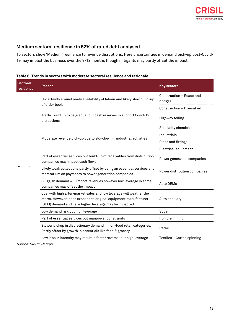#### **Medium sectoral resilience in 52% of rated debt analysed**

15 sectors show 'Medium' resilience to revenue disruptions. Here uncertainties in demand pick-up post-Covid-19 may impact the business over the 9-12 months though mitigants may partly offset the impact.

| <b>Sectoral</b><br>resilience | Reason                                                                                                                                                                                          | <b>Key sectors</b>                  |
|-------------------------------|-------------------------------------------------------------------------------------------------------------------------------------------------------------------------------------------------|-------------------------------------|
|                               | Uncertainly around ready availability of labour and likely slow build-up                                                                                                                        | Construction - Roads and<br>bridges |
|                               | of order book                                                                                                                                                                                   | Construction - Diversified          |
|                               | Traffic build up to be gradual but cash reserves to support Covid-19<br>disruptions                                                                                                             | Highway tolling                     |
|                               |                                                                                                                                                                                                 | Speciality chemicals                |
|                               |                                                                                                                                                                                                 | Industrials                         |
|                               | Moderate revenue pick-up due to slowdown in industrial activities                                                                                                                               | Pipes and fittings                  |
| Medium                        |                                                                                                                                                                                                 | Electrical equipment                |
|                               | Part of essential services but build-up of receivables from distribution<br>companies may impact cash flows                                                                                     | Power generation companies          |
|                               | Likely weak collections partly offset by being an essential services and<br>moratorium on payments to power generation companies                                                                | Power distribution companies        |
|                               | Sluggish demand will impact revenues however low leverage in some<br>companies may offset the impact                                                                                            | Auto OEMs                           |
|                               | Cos. with high after-market sales and low leverage will weather the<br>storm. However, ones exposed to original equipment manufacturer<br>(OEM) demand and have higher leverage may be impacted | Auto ancillary                      |
|                               | Low demand risk but high leverage                                                                                                                                                               | Sugar                               |
|                               | Part of essential services but manpower constraints                                                                                                                                             | Iron ore mining                     |
|                               | Slower pickup in discretionary demand in non-food retail categories.<br>Partly offset by growth in essentials like food & grocery                                                               | Retail                              |
|                               | Low labour intensity may result in faster reversal but high leverage                                                                                                                            | Textiles - Cotton spinning          |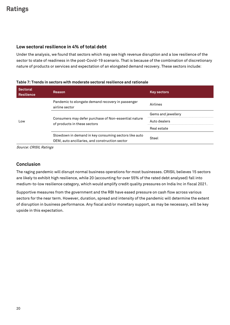#### **Low sectoral resilience in 4% of total debt**

Under the analysis, we found that sectors which may see high revenue disruption and a low resilience of the sector to state of readiness in the post-Covid-19 scenario. That is because of the combination of discretionary nature of products or services and expectation of an elongated demand recovery. These sectors include:

#### **Table 7: Trends in sectors with moderate sectoral resilience and rationale**

| <b>Sectoral</b><br><b>Resilience</b> | Reason                                                                                                                                                                                          | <b>Key sectors</b> |
|--------------------------------------|-------------------------------------------------------------------------------------------------------------------------------------------------------------------------------------------------|--------------------|
|                                      | Pandemic to elongate demand recovery in passenger<br>airline sector                                                                                                                             | Airlines           |
|                                      | Consumers may defer purchase of Non-essential nature<br>of products in these sectors<br>Slowdown in demand in key consuming sectors like auto<br>OEM, auto ancillaries, and construction sector | Gems and jewellery |
| Low                                  |                                                                                                                                                                                                 | Auto dealers       |
|                                      |                                                                                                                                                                                                 | Real estate        |
|                                      |                                                                                                                                                                                                 | Steel              |

Source: CRISIL Ratings

#### **Conclusion**

The raging pandemic will disrupt normal business operations for most businesses. CRISIL believes 15 sectors are likely to exhibit high resilience, while 20 (accounting for over 55% of the rated debt analysed) fall into medium-to-low resilience category, which would amplify credit quality pressures on India Inc in fiscal 2021.

Supportive measures from the government and the RBI have eased pressure on cash flow across various sectors for the near term. However, duration, spread and intensity of the pandemic will determine the extent of disruption in business performance. Any fiscal and/or monetary support, as may be necessary, will be key upside in this expectation.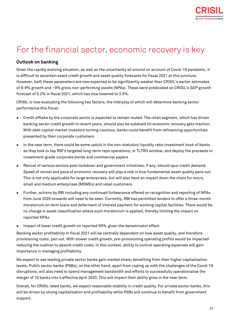

# <span id="page-22-0"></span>For the financial sector, economic recovery is key

#### **Outlook on banking**

Given the rapidly evolving situation, as well as the uncertainty all around on account of Covid-19 pandemic, it is difficult to ascertain exact credit growth and asset quality forecasts for fiscal 2021 at this juncture. However, both these parameters are now expected to be significantly weaker than CRISIL's earlier estimates of 8-9% growth and ~9% gross non-performing assets (NPAs). These were predicated on CRISIL's GDP growth forecast of 5.2% in fiscal 2021, which has now lowered to 3.5%.

CRISIL is now evaluating the following key factors, the interplay of which will determine banking sector performance this fiscal:

- Credit offtake by the corporate sector is expected to remain muted. The retail segment, which has driven banking sector credit growth in recent years, should also be subdued till economic recovery gets traction. With debt capital market investors turning cautious, banks could benefit from refinancing opportunities presented by their corporate customers
- In the near term, there could be some uptick in the non-statutory liquidity ratio investment book of banks as they look to tap RBI's targeted long-term repo operations, or TLTRO window, and deploy the proceeds in investment-grade corporate bonds and commercial papers
- Revival of various sectors post lockdown and government initiatives, if any, should spur credit demand. Speed of revival and pace of economic recovery will play a role in how fundamental asset quality pans out. This is not only applicable for large enterprises, but will also have an impact down the chain for micro, small and medium enterprises (MSMEs) and retail customers
- Further, actions by RBI including any continued forbearance offered on recognition and reporting of NPAs from June 2020 onwards will need to be seen. Currently, RBI has permitted lenders to offer a three-month moratorium on term loans and deferment of interest payment for working capital facilities. There would be no change in asset classification where such moratorium is applied, thereby limiting the impact on reported NPAs
- Impact of lower credit growth on reported NPA, given the denominator effect

Banking sector profitability in fiscal 2021 will be centrally dependent on how asset quality, and therefore provisioning costs, pan out. With slower credit growth, pre-provisioning operating profits would be impacted reducing the cushion to absorb credit costs. In this context, ability to control operating expenses will gain importance in managing profitability.

We expect to see leading private sector banks gain market share, benefiting from their higher capitalisation levels. Public sector banks (PSBs), on the other hand, apart from coping up with the challenges of the Covid-19 disruptions, will also need to spend management bandwidth and efforts to successfully operationalise the merger of 10 banks into 4 effective April 2020. This will impact their ability grow in the near term.

Overall, for CRISIL rated banks, we expect reasonable stability in credit quality. For private sector banks, this will be driven by strong capitalisation and profitability while PSBs will continue to benefit from government support.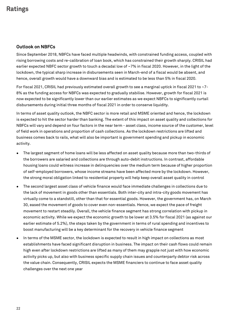#### **Outlook on NBFCs**

Since September 2018, NBFCs have faced multiple headwinds, with constrained funding access, coupled with rising borrowing costs and re-calibration of loan book, which has constrained their growth sharply. CRISIL had earlier expected NBFC sector growth to touch a decadal low of ~7% in fiscal 2020. However, in the light of the lockdown, the typical sharp increase in disbursements seen in March-end of a fiscal would be absent, and hence, overall growth would have a downward bias and is estimated to be less than 5% in fiscal 2020.

For fiscal 2021, CRISIL had previously estimated overall growth to see a marginal uptick in fiscal 2021 to ~7- 8% as the funding access for NBFCs was expected to gradually stabilise. However, growth for fiscal 2021 is now expected to be significantly lower than our earlier estimates as we expect NBFCs to significantly curtail disbursements during initial three months of fiscal 2021 in order to conserve liquidity.

In terms of asset quality outlook, the NBFC sector is more retail and MSME oriented and hence, the lockdown is expected to hit the sector harder than banking. The extent of this impact on asset quality and collections for NBFCs will vary and depend on four factors in the near term - asset class, income source of the customer, level of field work in operations and proportion of cash collections. As the lockdown restrictions are lifted and business comes back to rails, what will also be important is government spending and pickup in economic activity.

- The largest segment of home loans will be less affected on asset quality because more than two-thirds of the borrowers are salaried and collections are through auto-debit instructions. In contrast, affordable housing loans could witness increase in delinquencies over the medium term because of higher proportion of self-employed borrowers, whose income streams have been affected more by the lockdown. However, the strong moral obligation linked to residential property will help keep overall asset quality in control
- The second largest asset class of vehicle finance would face immediate challenges in collections due to the lack of movement in goods other than essentials. Both inter-city and intra-city goods movement has virtually come to a standstill, other than that for essential goods. However, the government has, on March 30, eased the movement of goods to cover even non-essentials. Hence, we expect the pace of freight movement to restart steadily. Overall, the vehicle finance segment has strong correlation with pickup in economic activity. While we expect the economic growth to be lower at 3.5% for fiscal 2021 (as against our earlier estimate of 5.2%), the steps taken by the government in terms of rural spending and incentives to boost manufacturing will be a key determinant for the recovery in vehicle finance segment
- In terms of the MSME sector, the lockdown is expected to result in high impact on collections as most establishments have faced significant disruption in business. The impact on their cash flows could remain high even after lockdown restrictions are lifted as many of them may grapple not just with how economic activity picks up, but also with business specific supply chain issues and counterparty debtor risk across the value chain. Consequently, CRISIL expects the MSME financiers to continue to face asset quality challenges over the next one year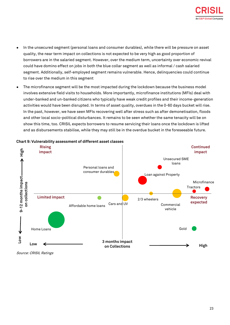

- In the unsecured segment (personal loans and consumer durables), while there will be pressure on asset quality, the near term impact on collections is not expected to be very high as good proportion of borrowers are in the salaried segment. However, over the medium term, uncertainty over economic revival could have domino effect on jobs in both the blue collar segment as well as informal / cash salaried segment. Additionally, self-employed segment remains vulnerable. Hence, delinquencies could continue to rise over the medium in this segment
- The microfinance segment will be the most impacted during the lockdown because the business model involves extensive field visits to households. More importantly, microfinance institutions (MFIs) deal with under-banked and un-banked citizens who typically have weak credit profiles and their income-generation activities would have been disrupted. In terms of asset quality, overdues in the 0-60 days bucket will rise. In the past, however, we have seen MFIs recovering well after stress such as after demonetisation, floods and other local socio-political disturbances. It remains to be seen whether the same tenacity will be on show this time, too. CRISIL expects borrowers to resume servicing their loans once the lockdown is lifted and as disbursements stabilise, while they may still be in the overdue bucket in the foreseeable future.



#### **Chart 9: Vulnerability assessment of different asset classes**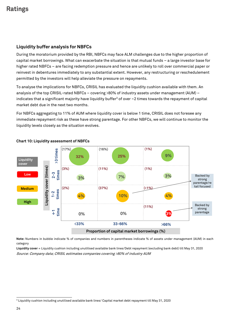#### **Liquidity buffer analysis for NBFCs**

During the moratorium provided by the RBI, NBFCs may face ALM challenges due to the higher proportion of capital market borrowings. What can exacerbate the situation is that mutual funds – a large investor base for higher rated NBFCs – are facing redemption pressure and hence are unlikely to roll over commercial paper or reinvest in debentures immediately to any substantial extent. However, any restructuring or reschedulement permitted by the investors will help alleviate the pressure on repayments.

To analyse the implications for NBFCs, CRISIL has evaluated the liquidity cushion available with them. An analysis of the top CRISIL-rated NBFCs – covering >80% of industry assets under management (AUM) – indicates that a significant majority have liquidity buffer<sup>3</sup> of over  $\sim$ 2 times towards the repayment of capital market debt due in the next two months.

For NBFCs aggregating to 11% of AUM where liquidity cover is below 1 time, CRISIL does not foresee any immediate repayment risk as these have strong parentage. For other NBFCs, we will continue to monitor the liquidity levels closely as the situation evolves.



#### **Chart 10: Liquidity assessment of NBFCs**

**Note:** Numbers in bubble indicate % of companies and numbers in parentheses indicate % of assets under management (AUM) in each category

**Liquidity cover** = Liquidity cushion including unutilised available bank lines/Debt repayment (excluding bank debt) till May 31, 2020 Source: Company data; CRISIL estimates companies covering >80% of industry AUM

l

<sup>3</sup> Liquidity cushion including unutilised available bank lines/ Capital market debt repayment till May 31, 2020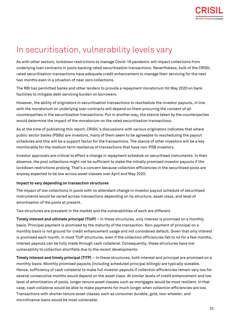## <span id="page-26-0"></span>In securitisation, vulnerability levels vary

As with other sectors, lockdown restrictions to manage Covid-19 pandemic will impact collections from underlying loan contracts in pools backing rated securitisation transactions. Nevertheless, bulk of the CRISIL rated securitisation transactions have adequate credit enhancement to manage their servicing for the next two months even in a situation of near zero collections.

The RBI has permitted banks and other lenders to provide a repayment moratorium till May 2020 on bank facilities to mitigate debt servicing burden on borrowers.

However, the ability of originators in securitisation transactions to reschedule the investor payouts, in line with the moratorium on underlying loan contracts will depend on them procuring the consent of all counterparties in the securitisation transactions. Put in another way, the stance taken by the counterparties would determine the impact of the moratorium on the rated securitisation transactions.

As at the time of publishing this report, CRISIL's discussions with various originators indicates that where public sector banks (PSBs) are investors, many of them seem to be agreeable to rescheduling the payout schedules and this will be a support factor for the transactions. The stance of other investors will be a key monitorable for the medium term resilience of transactions that have non-PSB investors.

Investor approvals are critical to effect a change in repayment schedule on securitised instruments. In their absence, the pool collections might not be sufficient to make the initially promised investor payouts if the lockdown restrictions prolong. That's a concern because collection efficiencies in the securitised pools are anyway expected to be low across asset classes over April and May 2020.

#### **Impact to vary depending on transaction structures**

The impact of low collections in pools with no attendant change in investor payout schedule of securitised instruments would be varied across transactions depending on its structure, asset class, and level of amortisation of the pools at present.

Two structures are prevalent in the market and the vulnerabilities of each are different.

**Timely interest and ultimate principal (TIUP)** – In these structures, only interest is promised on a monthly basis. Principal payment is promised by the maturity of the transaction. Non-payment of principal on a monthly basis is not ground for credit enhancement usage and not considered default. Given that only interest is promised each month, in most TIUP structures, even if the collection efficiencies fall to nil for a few months, interest payouts can be fully made through cash collateral. Consequently, these structures have low vulnerability to collection shortfalls due to the recent developments.

**Timely interest and timely principal (TITP)** – In these structures, both interest and principal are promised on a monthly basis. Monthly promised payouts (including scheduled principal billings) are typically sizeable. Hence, sufficiency of cash collateral to make full investor payouts if collection efficiencies remain very low for several consecutive months would depend on the asset class. At similar levels of credit enhancement and low level of amortisation of pools, longer tenure asset classes such as mortgages would be most resilient. In that case, cash collateral would be able to make payments for much longer when collection efficiencies are low. Transactions with shorter tenure asset classes such as consumer durable, gold, two-wheeler, and microfinance loans would be most vulnerable.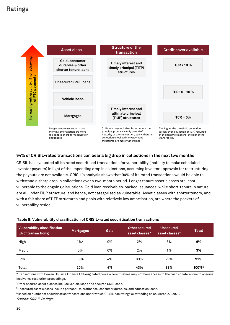

#### **94% of CRISIL-rated transactions can bear a big drop in collections in the next two months**

CRISIL has evaluated all its rated securitised transactions for vulnerability (inability to make scheduled investor payouts) in light of the impending drop in collections, assuming investor approvals for restructuring the payouts are not available. CRISIL's analysis shows that 94% of its rated transactions would be able to withstand a sharp drop in collections over a two-month period. Longer tenure asset classes are least vulnerable to the ongoing disruptions. Gold loan receivables-backed issuances, while short-tenure in nature, are all under TIUP structure, and hence, not categorised as vulnerable. Asset classes with shorter tenors, and with a fair share of TITP structures and pools with relatively low amortisation, are where the pockets of vulnerability reside.

### **Table 8: Vulnerability classification of CRISIL-rated securitisation transactions**

| Vulnerability classification<br>(% of transactions) | Mortgages | Gold | Other secured<br>asset classes <sup>^</sup> | <b>Unsecured</b><br>asset classes <sup>\$</sup> | <b>Total</b>             |
|-----------------------------------------------------|-----------|------|---------------------------------------------|-------------------------------------------------|--------------------------|
| High                                                | $1\%*$    | 0%   | 2%                                          | 3%                                              | 6%                       |
| Medium                                              | 0%        | 0%   | 2%                                          | 1%                                              | 3%                       |
| Low                                                 | 19%       | 4%   | 39%                                         | 29%                                             | 91%                      |
| Total                                               | 20%       | 4%   | 43%                                         | 33%                                             | $100\%$ <sup>&amp;</sup> |

\*Transactions with Dewan Housing Finance Ltd-originated pools where trustees may not have access to the cash collateral due to ongoing insolvency resolution proceedings.

^Other secured asset classes include vehicle loans and secured SME loans.

\$Unsecured asset classes include personal, microfinance, consumer durables, and education loans.

&Based on number of securitisation transactions under which CRISIL has ratings outstanding as on March 27, 2020.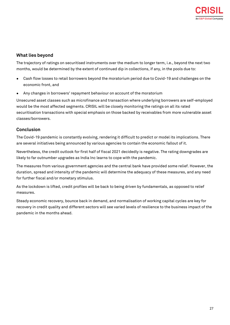#### **What lies beyond**

The trajectory of ratings on securitised instruments over the medium to longer term, i.e., beyond the next two months, would be determined by the extent of continued dip in collections, if any, in the pools due to:

- Cash flow losses to retail borrowers beyond the moratorium period due to Covid-19 and challenges on the economic front, and
- Any changes in borrowers' repayment behaviour on account of the moratorium

Unsecured asset classes such as microfinance and transaction where underlying borrowers are self-employed would be the most affected segments. CRISIL will be closely monitoring the ratings on all its rated securitisation transactions with special emphasis on those backed by receivables from more vulnerable asset classes/borrowers.

#### **Conclusion**

The Covid-19 pandemic is constantly evolving, rendering it difficult to predict or model its implications. There are several initiatives being announced by various agencies to contain the economic fallout of it.

Nevertheless, the credit outlook for first half of fiscal 2021 decidedly is negative. The rating downgrades are likely to far outnumber upgrades as India Inc learns to cope with the pandemic.

The measures from various government agencies and the central bank have provided some relief. However, the duration, spread and intensity of the pandemic will determine the adequacy of these measures, and any need for further fiscal and/or monetary stimulus.

As the lockdown is lifted, credit profiles will be back to being driven by fundamentals, as opposed to relief measures.

Steady economic recovery, bounce back in demand, and normalisation of working capital cycles are key for recovery in credit quality and different sectors will see varied levels of resilience to the business impact of the pandemic in the months ahead.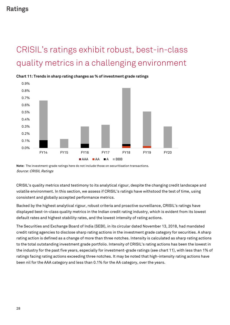# <span id="page-29-0"></span>CRISIL's ratings exhibit robust, best-in-class quality metrics in a challenging environment



**Chart 11: Trends in sharp rating changes as % of investment grade ratings**

CRISIL's quality metrics stand testimony to its analytical rigour, despite the changing credit landscape and volatile environment. In this section, we assess if CRISIL's ratings have withstood the test of time, using consistent and globally accepted performance metrics.

Backed by the highest analytical rigour, robust criteria and proactive surveillance, CRISIL's ratings have displayed best-in-class quality metrics in the Indian credit rating industry, which is evident from its lowest default rates and highest stability rates, and the lowest intensity of rating actions.

The Securities and Exchange Board of India (SEBI), in its circular dated November 13, 2018, had mandated credit rating agencies to disclose sharp rating actions in the investment grade category for securities. A sharp rating action is defined as a change of more than three notches. Intensity is calculated as sharp rating actions to the total outstanding investment grade portfolio. Intensity of CRISIL's rating actions has been the lowest in the industry for the past five years, especially for investment-grade ratings (see chart 11), with less than 1% of ratings facing rating actions exceeding three notches. It may be noted that high-intensity rating actions have been nil for the AAA category and less than 0.1% for the AA category, over the years.

**Note:** The investment-grade ratings here do not include those on securitisation transactions. Source: CRISIL Ratings